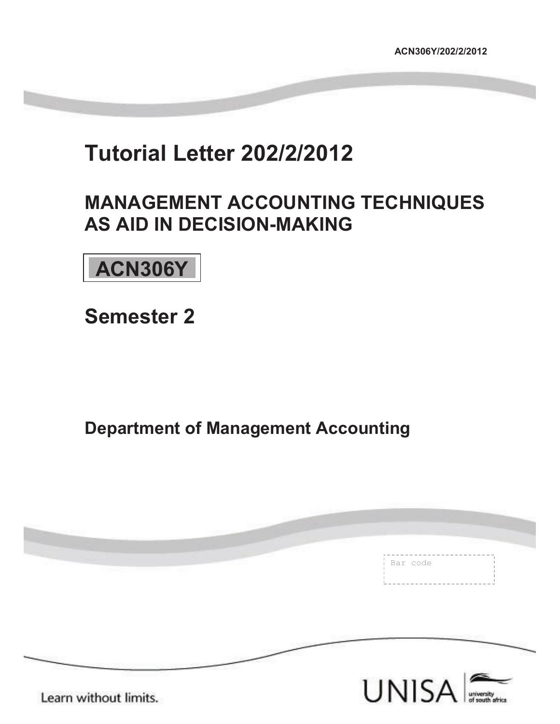# **Tutorial Letter 202/2/2012**

# **MANAGEMENT ACCOUNTING TECHNIQUES AS AID IN DECISION-MAKING**

**ACN306Y** 

**Semester 2** 

**Department of Management Accounting** 

|                       | Bar code |
|-----------------------|----------|
|                       |          |
|                       |          |
| Learn without limits. | UNISA    |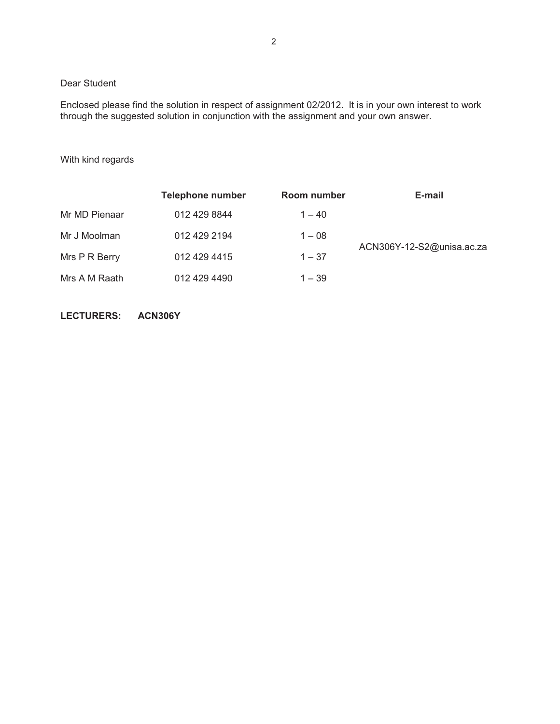### Dear Student

Enclosed please find the solution in respect of assignment 02/2012. It is in your own interest to work through the suggested solution in conjunction with the assignment and your own answer.

#### With kind regards

|               | <b>Telephone number</b> | Room number | E-mail                    |
|---------------|-------------------------|-------------|---------------------------|
| Mr MD Pienaar | 012 429 8844            | $1 - 40$    |                           |
| Mr J Moolman  | 012 429 2194            | $1 - 08$    |                           |
| Mrs P R Berry | 012 429 4415            | $1 - 37$    | ACN306Y-12-S2@unisa.ac.za |
| Mrs A M Raath | 012 429 4490            | $1 - 39$    |                           |

**LECTURERS: ACN306Y**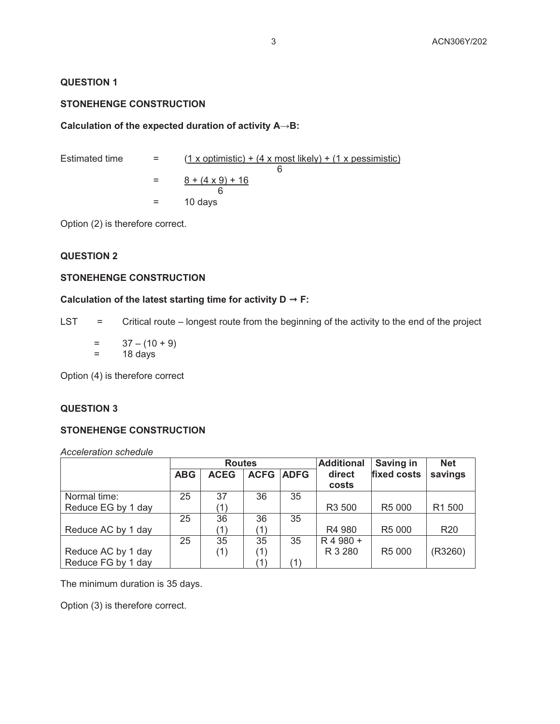#### **QUESTION 1**

### **STONEHENGE CONSTRUCTION**

#### **Calculation of the expected duration of activity A→B:**

| Estimated time | $=$ $-$ | $(1 x$ optimistic) + $(4 x$ most likely) + $(1 x$ pessimistic) |
|----------------|---------|----------------------------------------------------------------|
|                |         |                                                                |
|                | $=$     | $8 + (4 \times 9) + 16$                                        |
|                |         |                                                                |
|                | $=$     | 10 days                                                        |

Option (2) is therefore correct.

# **QUESTION 2**

# **STONEHENGE CONSTRUCTION**

#### Calculation of the latest starting time for activity  $D \rightarrow F$ :

LST = Critical route – longest route from the beginning of the activity to the end of the project

 $= 37 - (10 + 9)$  $=$  18 days

Option (4) is therefore correct

## **QUESTION 3**

#### **STONEHENGE CONSTRUCTION**

*Acceleration schedule* 

|                    | <b>Routes</b> |             |               | <b>Additional</b> | <b>Saving in</b> | <b>Net</b>         |                 |
|--------------------|---------------|-------------|---------------|-------------------|------------------|--------------------|-----------------|
|                    | <b>ABG</b>    | <b>ACEG</b> | <b>ACFG</b>   | <b>ADFG</b>       | direct           | fixed costs        | savings         |
|                    |               |             |               |                   | costs            |                    |                 |
| Normal time:       | 25            | 37          | 36            | 35                |                  |                    |                 |
| Reduce EG by 1 day |               | (1)         |               |                   | R3 500           | R <sub>5</sub> 000 | R1 500          |
|                    | 25            | 36          | 36            | 35                |                  |                    |                 |
| Reduce AC by 1 day |               | '1)         | (1)           |                   | R4 980           | R <sub>5</sub> 000 | R <sub>20</sub> |
|                    | 25            | 35          | 35            | 35                | R 4 980 +        |                    |                 |
| Reduce AC by 1 day |               | (1)         | (1)           |                   | R 3 280          | R <sub>5</sub> 000 | (R3260)         |
| Reduce FG by 1 day |               |             | $^{\prime}$ 1 | (1)               |                  |                    |                 |

The minimum duration is 35 days.

Option (3) is therefore correct.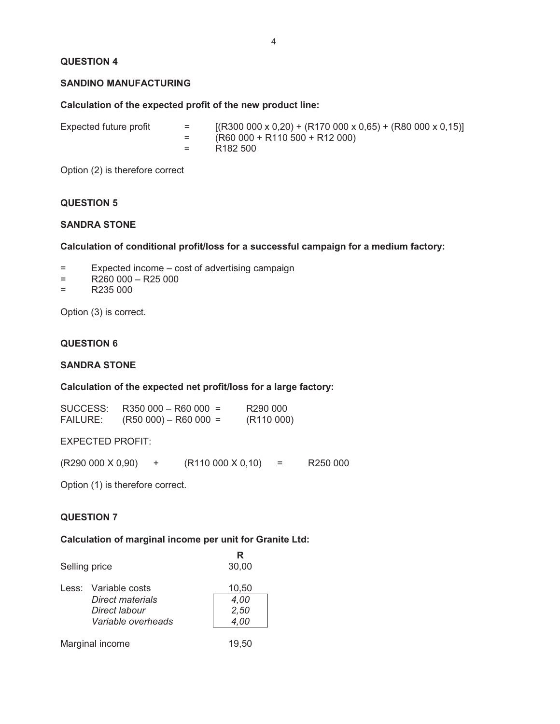# **QUESTION 4**

#### **SANDINO MANUFACTURING**

# **Calculation of the expected profit of the new product line:**

| R182 500 | Expected future profit | $=$ $-$ | $[(R300 000 x 0,20) + (R170 000 x 0,65) + (R80 000 x 0,15)]$<br>$(R60 000 + R110 500 + R12 000)$ |
|----------|------------------------|---------|--------------------------------------------------------------------------------------------------|
|----------|------------------------|---------|--------------------------------------------------------------------------------------------------|

Option (2) is therefore correct

#### **QUESTION 5**

#### **SANDRA STONE**

#### **Calculation of conditional profit/loss for a successful campaign for a medium factory:**

- = Expected income cost of advertising campaign
- $=$  R260 000 R25 000
- $=$  R235 000

Option (3) is correct.

#### **QUESTION 6**

#### **SANDRA STONE**

#### **Calculation of the expected net profit/loss for a large factory:**

| SUCCESS:        | $R350000 - R60000 =$    | R <sub>290</sub> 000 |
|-----------------|-------------------------|----------------------|
| <b>FAILURE:</b> | $(R50 000) - R60 000 =$ | (R110000)            |

EXPECTED PROFIT:

 $(R290 000 X 0,90)$  +  $(R110 000 X 0,10)$  = R250 000

Option (1) is therefore correct.

#### **QUESTION 7**

#### **Calculation of marginal income per unit for Granite Ltd:**

| Selling price |                                                                                 | R<br>30,00                    |
|---------------|---------------------------------------------------------------------------------|-------------------------------|
|               | Less: Variable costs<br>Direct materials<br>Direct labour<br>Variable overheads | 10,50<br>4,00<br>2,50<br>4,00 |
|               | Marginal income                                                                 | 19.50                         |